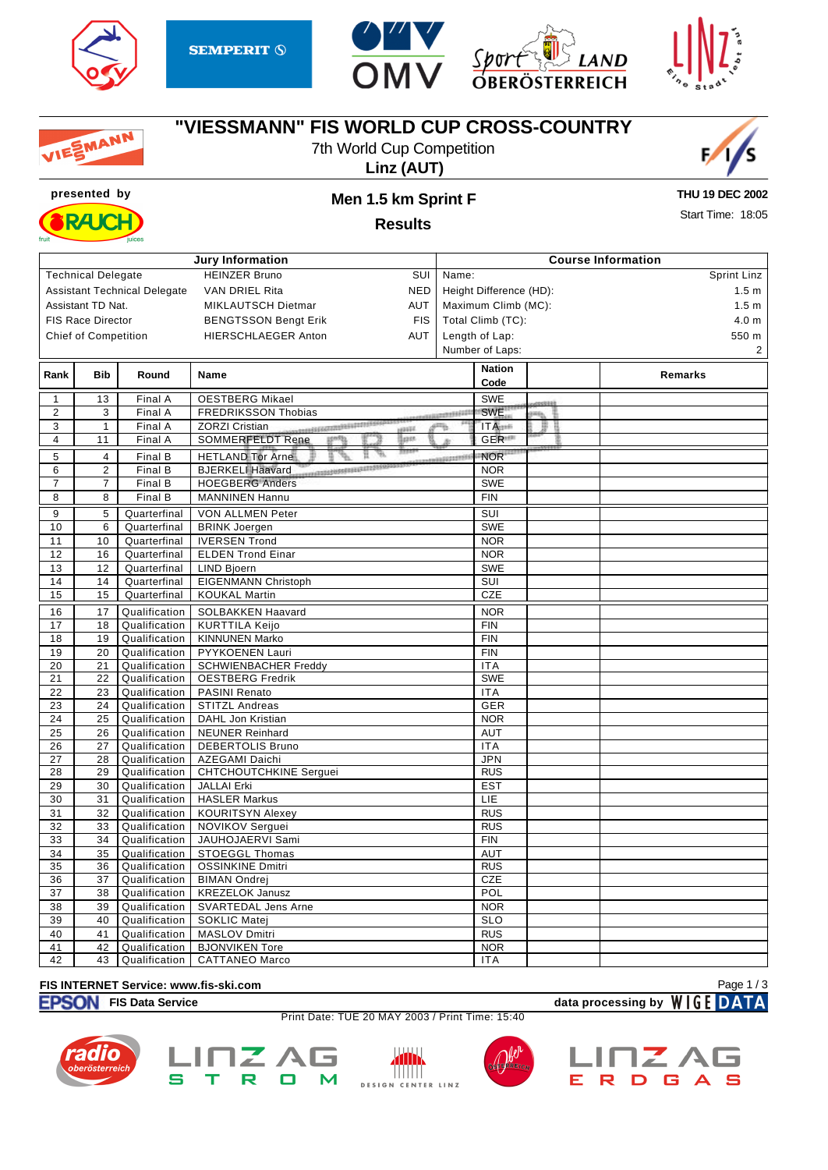

MANN







**LAND** 

### **"VIESSMANN" FIS WORLD CUP CROSS-COUNTRY**

7th World Cup Competition **Linz (AUT)**





#### **presented by Men 1.5 km Sprint F Results**

**THU 19 DEC 2002** Start Time: 18:05



| <b>Jury Information</b> |                                                          |                                     |                                                     | <b>Course Information</b> |                   |      |                  |  |  |  |
|-------------------------|----------------------------------------------------------|-------------------------------------|-----------------------------------------------------|---------------------------|-------------------|------|------------------|--|--|--|
|                         | <b>HEINZER Bruno</b><br>SUI<br><b>Technical Delegate</b> |                                     |                                                     | Name:                     | Sprint Linz       |      |                  |  |  |  |
|                         |                                                          | <b>Assistant Technical Delegate</b> | <b>NED</b><br><b>VAN DRIEL Rita</b>                 | Height Difference (HD):   |                   |      | 1.5 <sub>m</sub> |  |  |  |
|                         | Assistant TD Nat.                                        |                                     | AUT<br><b>MIKLAUTSCH Dietmar</b>                    | Maximum Climb (MC):       |                   |      | 1.5 <sub>m</sub> |  |  |  |
|                         | <b>FIS Race Director</b>                                 |                                     | <b>BENGTSSON Bengt Erik</b><br><b>FIS</b>           | Total Climb (TC):         |                   |      | 4.0 <sub>m</sub> |  |  |  |
|                         |                                                          |                                     |                                                     |                           |                   |      |                  |  |  |  |
|                         | <b>Chief of Competition</b>                              |                                     | AUT<br><b>HIERSCHLAEGER Anton</b>                   |                           | Length of Lap:    |      | 550 m            |  |  |  |
|                         |                                                          |                                     |                                                     |                           | Number of Laps:   |      | $\overline{2}$   |  |  |  |
| Rank                    | <b>Bib</b>                                               | Round                               | <b>Name</b>                                         |                           | <b>Nation</b>     |      | Remarks          |  |  |  |
|                         |                                                          |                                     |                                                     |                           | Code              |      |                  |  |  |  |
| $\mathbf{1}$            | 13                                                       | Final A                             | <b>OESTBERG Mikael</b>                              |                           | <b>SWE</b>        | masi |                  |  |  |  |
| $\overline{2}$          | 3                                                        | Final A                             | <b>FREDRIKSSON Thobias</b>                          |                           | <b>SWE</b>        |      |                  |  |  |  |
| 3                       | 1                                                        | Final A                             | <b>ZORZI Cristian</b><br><b>HIGH</b>                | om                        | ITA <sub>T</sub>  | ₩    |                  |  |  |  |
| $\overline{4}$          | 11                                                       | Final A                             | llan.<br><b>SOMMERFELDT Rene</b><br>ცირე            |                           | GER <sup>11</sup> |      |                  |  |  |  |
| 5                       | 4                                                        | Final B                             | <b>HETLAND Tor Arne</b><br>π                        | ensurement                | <b>NOR</b>        |      |                  |  |  |  |
| 6                       | $\overline{2}$                                           | Final B                             | ,,,,,,,,,,,,,,,,,,,,,,,,<br><b>BJERKELI Haavard</b> |                           | <b>NOR</b>        |      |                  |  |  |  |
| $\overline{7}$          | 7                                                        | Final B                             | <b>HOEGBERG Anders</b>                              |                           | <b>SWE</b>        |      |                  |  |  |  |
| 8                       | 8                                                        | Final B                             | <b>MANNINEN Hannu</b>                               |                           | <b>FIN</b>        |      |                  |  |  |  |
| 9                       | 5                                                        | Quarterfinal                        | <b>VON ALLMEN Peter</b>                             |                           | SUI               |      |                  |  |  |  |
| 10                      | 6                                                        | Quarterfinal                        | <b>BRINK Joergen</b>                                |                           | <b>SWE</b>        |      |                  |  |  |  |
| 11                      | 10                                                       | Quarterfinal                        | <b>IVERSEN Trond</b>                                |                           | <b>NOR</b>        |      |                  |  |  |  |
| 12                      | 16                                                       | Quarterfinal                        | <b>ELDEN Trond Einar</b>                            |                           | <b>NOR</b>        |      |                  |  |  |  |
| 13                      | 12                                                       | Quarterfinal                        | <b>LIND Bjoern</b>                                  |                           | <b>SWE</b>        |      |                  |  |  |  |
| 14                      | 14                                                       | Quarterfinal                        | <b>EIGENMANN Christoph</b>                          | SUI                       |                   |      |                  |  |  |  |
| 15                      | 15                                                       | Quarterfinal                        | <b>KOUKAL Martin</b>                                |                           | <b>CZE</b>        |      |                  |  |  |  |
| 16                      | 17                                                       | Qualification                       | SOLBAKKEN Haavard                                   |                           | <b>NOR</b>        |      |                  |  |  |  |
| 17                      | 18                                                       | Qualification                       | <b>KURTTILA Keijo</b>                               |                           | <b>FIN</b>        |      |                  |  |  |  |
| 18                      | 19                                                       | Qualification                       | <b>KINNUNEN Marko</b>                               |                           | <b>FIN</b>        |      |                  |  |  |  |
| 19                      | 20                                                       | Qualification                       | PYYKOENEN Lauri                                     |                           | <b>FIN</b>        |      |                  |  |  |  |
| 20                      | 21                                                       | Qualification                       | <b>SCHWIENBACHER Freddy</b>                         |                           | <b>ITA</b>        |      |                  |  |  |  |
| 21                      | 22                                                       | Qualification                       | <b>OESTBERG Fredrik</b>                             |                           | <b>SWE</b>        |      |                  |  |  |  |
| 22                      | 23                                                       | Qualification                       | PASINI Renato                                       |                           | <b>ITA</b>        |      |                  |  |  |  |
| 23                      | 24                                                       | Qualification                       | <b>STITZL Andreas</b>                               |                           | GER               |      |                  |  |  |  |
| 24                      | 25                                                       | Qualification                       | DAHL Jon Kristian                                   |                           | <b>NOR</b>        |      |                  |  |  |  |
| 25                      | 26                                                       | Qualification                       | <b>NEUNER Reinhard</b>                              |                           | <b>AUT</b>        |      |                  |  |  |  |
| 26                      | 27                                                       | Qualification                       | <b>DEBERTOLIS Bruno</b>                             |                           | <b>ITA</b>        |      |                  |  |  |  |
| 27                      | 28                                                       | Qualification                       | <b>AZEGAMI Daichi</b>                               |                           | <b>JPN</b>        |      |                  |  |  |  |
| 28                      | 29                                                       | Qualification                       | <b>CHTCHOUTCHKINE Serguei</b>                       |                           | <b>RUS</b>        |      |                  |  |  |  |
| 29                      | 30                                                       | Qualification                       | <b>JALLAI Erki</b>                                  |                           | <b>EST</b>        |      |                  |  |  |  |
| 30                      | 31                                                       | Qualification                       | <b>HASLER Markus</b>                                |                           | LIE               |      |                  |  |  |  |
| 31                      | 32                                                       | Qualification                       | <b>KOURITSYN Alexey</b>                             |                           | <b>RUS</b>        |      |                  |  |  |  |
| 32                      | 33                                                       | Qualification                       | NOVIKOV Serguei                                     |                           | <b>RUS</b>        |      |                  |  |  |  |
| 33                      | 34                                                       | Qualification                       | JAUHOJAERVI Sami                                    |                           | <b>FIN</b>        |      |                  |  |  |  |
| 34                      | 35                                                       | Qualification                       | <b>STOEGGL Thomas</b>                               |                           | AUT               |      |                  |  |  |  |
| 35                      | 36                                                       | Qualification                       | <b>OSSINKINE Dmitri</b>                             |                           | <b>RUS</b>        |      |                  |  |  |  |
| 36                      | 37                                                       | Qualification                       | <b>BIMAN Ondrej</b>                                 |                           | <b>CZE</b>        |      |                  |  |  |  |
| 37                      | 38                                                       | Qualification                       | <b>KREZELOK Janusz</b>                              |                           | POL               |      |                  |  |  |  |
| 38                      | 39                                                       | Qualification                       | SVARTEDAL Jens Arne                                 |                           | <b>NOR</b>        |      |                  |  |  |  |
| 39                      | 40                                                       | Qualification                       | <b>SOKLIC Matej</b>                                 |                           | <b>SLO</b>        |      |                  |  |  |  |
| 40                      | 41                                                       | Qualification                       | MASLOV Dmitri                                       |                           | <b>RUS</b>        |      |                  |  |  |  |
| 41                      | 42                                                       | Qualification                       | <b>BJONVIKEN Tore</b>                               |                           | <b>NOR</b>        |      |                  |  |  |  |
| 42                      | 43                                                       | Qualification                       | <b>CATTANEO Marco</b>                               |                           | <b>ITA</b>        |      |                  |  |  |  |

## **FIS INTERNET Service: www.fis-ski.com**

Print Date: TUE 20 MAY 2003 / Print Time: 15:40

mW.

 $\| \cdot \| \cdot \|$ 









**FISH OF A FISH OF A FISH OF A FISH OF A FISH OF A FISH OF A FISH OF A FISH OF A FISH OF A FISH OF A FISH OF A FISH OF A FISH OF A FISH OF A FISH OF A FISH OF A FISH OF A FISH OF A FISH OF A FISH OF A FISH OF A FISH OF A F** Page 1 / 3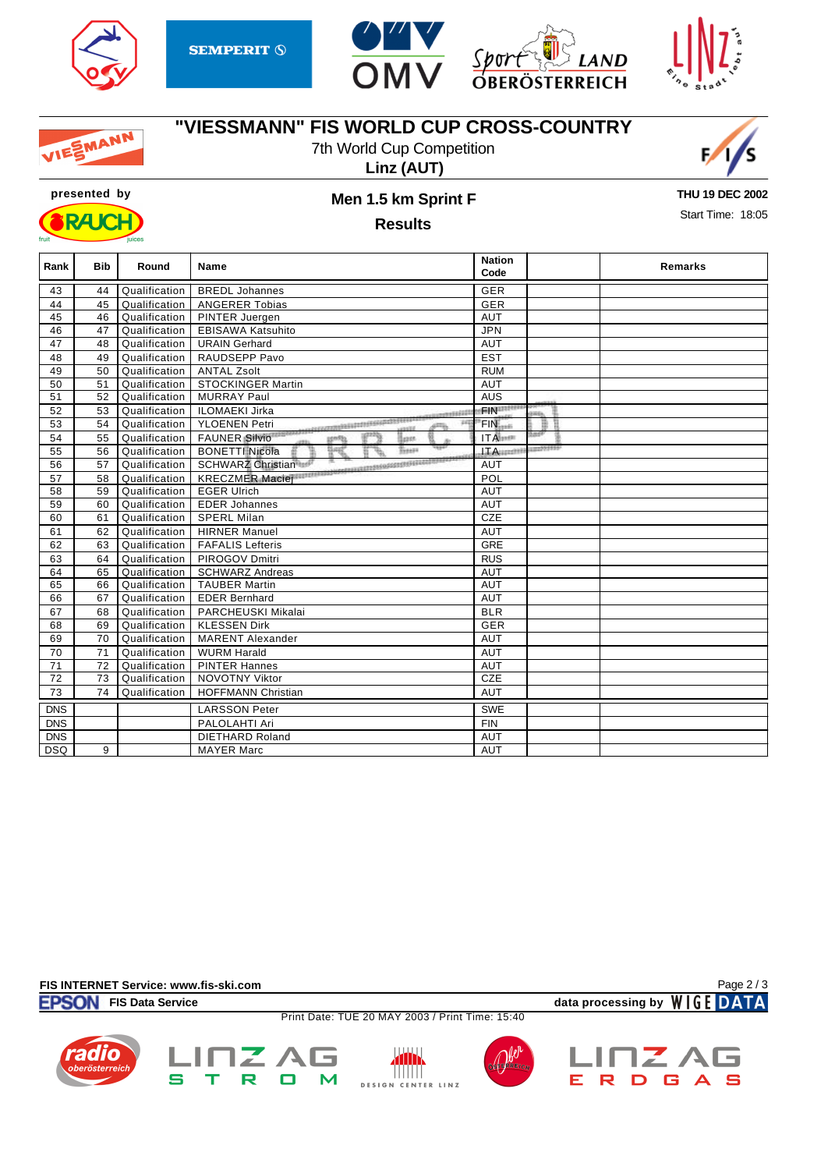

MANN







#### **"VIESSMANN" FIS WORLD CUP CROSS-COUNTRY**

7th World Cup Competition

**Linz (AUT)**





# **Results**



Start Time: 18:05

| Rank       | Bib | Round         | Name                                                   | <b>Nation</b><br>Code |           | <b>Remarks</b> |
|------------|-----|---------------|--------------------------------------------------------|-----------------------|-----------|----------------|
| 43         | 44  | Qualification | <b>BREDL Johannes</b>                                  | <b>GER</b>            |           |                |
| 44         | 45  | Qualification | <b>ANGERER Tobias</b>                                  | <b>GER</b>            |           |                |
| 45         | 46  | Qualification | PINTER Juergen                                         | <b>AUT</b>            |           |                |
| 46         | 47  | Qualification | <b>EBISAWA Katsuhito</b>                               | <b>JPN</b>            |           |                |
| 47         | 48  | Qualification | <b>URAIN Gerhard</b>                                   | <b>AUT</b>            |           |                |
| 48         | 49  | Qualification | RAUDSEPP Pavo                                          | <b>EST</b>            |           |                |
| 49         | 50  | Qualification | <b>ANTAL Zsolt</b>                                     | <b>RUM</b>            |           |                |
| 50         | 51  | Qualification | <b>STOCKINGER Martin</b>                               | <b>AUT</b>            |           |                |
| 51         | 52  | Qualification | <b>MURRAY Paul</b>                                     | <b>AUS</b>            |           |                |
| 52         | 53  | Qualification | ILOMAEKI Jirka                                         | <b>FIN</b>            |           |                |
| 53         | 54  | Qualification | CONTRACTORS IN THE CONTRACTORS<br><b>YLOENEN Petri</b> | FIN <sub>m</sub>      | B         |                |
| 54         | 55  | Qualification | <b>FAUNER Silvio</b><br>ექორე<br>lem                   | ITA <sub>m</sub>      |           |                |
| 55         | 56  | Qualification | Trease<br><b>BONETTI Nicola</b>                        | <b>Jacques</b>        | 112273333 |                |
| 56         | 57  | Qualification | SCHWARZ Christian                                      | <b>AUT</b>            |           |                |
| 57         | 58  | Qualification | <b>KRECZMER Maciej</b>                                 | POL                   |           |                |
| 58         | 59  | Qualification | <b>EGER Ulrich</b>                                     | <b>AUT</b>            |           |                |
| 59         | 60  | Qualification | <b>EDER Johannes</b>                                   | <b>AUT</b>            |           |                |
| 60         | 61  | Qualification | <b>SPERL Milan</b>                                     | CZE                   |           |                |
| 61         | 62  | Qualification | <b>HIRNER Manuel</b>                                   | <b>AUT</b>            |           |                |
| 62         | 63  | Qualification | <b>FAFALIS Lefteris</b>                                | <b>GRE</b>            |           |                |
| 63         | 64  | Qualification | PIROGOV Dmitri                                         | <b>RUS</b>            |           |                |
| 64         | 65  | Qualification | <b>SCHWARZ Andreas</b>                                 | <b>AUT</b>            |           |                |
| 65         | 66  | Qualification | <b>TAUBER Martin</b>                                   | <b>AUT</b>            |           |                |
| 66         | 67  | Qualification | <b>EDER Bernhard</b>                                   | <b>AUT</b>            |           |                |
| 67         | 68  | Qualification | PARCHEUSKI Mikalai                                     | <b>BLR</b>            |           |                |
| 68         | 69  | Qualification | <b>KLESSEN Dirk</b>                                    | <b>GER</b>            |           |                |
| 69         | 70  | Qualification | <b>MARENT Alexander</b>                                | AUT                   |           |                |
| 70         | 71  | Qualification | <b>WURM Harald</b>                                     | AUT                   |           |                |
| 71         | 72  | Qualification | <b>PINTER Hannes</b>                                   | <b>AUT</b>            |           |                |
| 72         | 73  | Qualification | <b>NOVOTNY Viktor</b>                                  | <b>CZE</b>            |           |                |
| 73         | 74  | Qualification | <b>HOFFMANN Christian</b>                              | <b>AUT</b>            |           |                |
| <b>DNS</b> |     |               | <b>LARSSON Peter</b>                                   | <b>SWE</b>            |           |                |
| <b>DNS</b> |     |               | PALOLAHTI Ari                                          | <b>FIN</b>            |           |                |
| <b>DNS</b> |     |               | <b>DIETHARD Roland</b>                                 | <b>AUT</b>            |           |                |
| <b>DSQ</b> | 9   |               | <b>MAYER Marc</b>                                      | <b>AUT</b>            |           |                |

**FIS INTERNET Service: www.fis-ski.com**

 $\mathbf{s}$ 

Ŕ

 $\Box$ 





Print Date: TUE 20 MAY 2003 / Print Time: 15:40